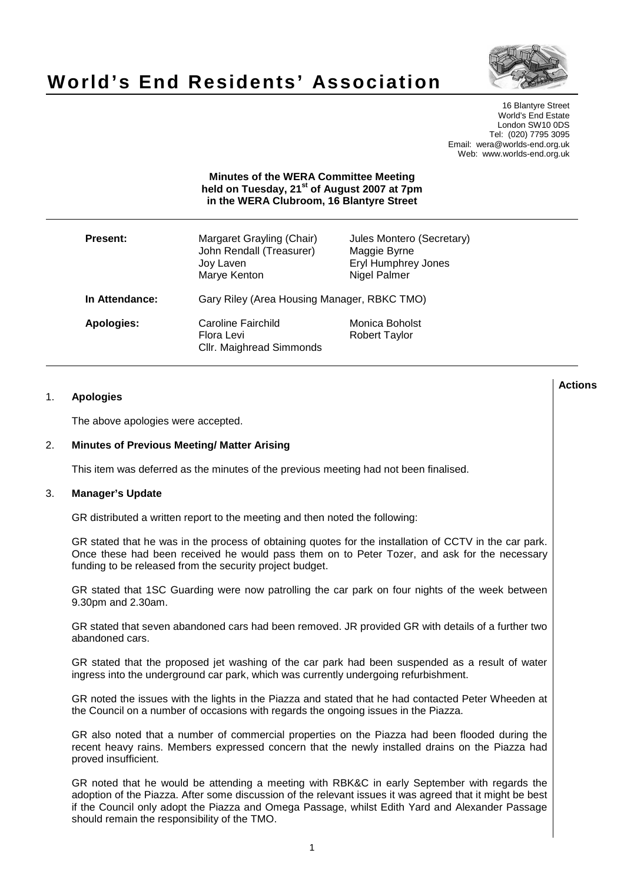

# **World's End Residents' Association**

16 Blantyre Street World's End Estate London SW10 0DS Tel: (020) 7795 3095 Email: wera@worlds-end.org.uk Web: www.worlds-end.org.uk

## **Minutes of the WERA Committee Meeting held on Tuesday, 21st of August 2007 at 7pm in the WERA Clubroom, 16 Blantyre Street**

| <b>Present:</b>   | Margaret Grayling (Chair)<br>John Rendall (Treasurer)<br>Joy Laven<br>Marye Kenton | Jules Montero (Secretary)<br>Maggie Byrne<br><b>Eryl Humphrey Jones</b><br>Nigel Palmer |
|-------------------|------------------------------------------------------------------------------------|-----------------------------------------------------------------------------------------|
| In Attendance:    | Gary Riley (Area Housing Manager, RBKC TMO)                                        |                                                                                         |
| <b>Apologies:</b> | Caroline Fairchild<br>Flora Levi<br>Cllr. Maighread Simmonds                       | Monica Boholst<br><b>Robert Taylor</b>                                                  |

## 1. **Apologies**

The above apologies were accepted.

## 2. **Minutes of Previous Meeting/ Matter Arising**

This item was deferred as the minutes of the previous meeting had not been finalised.

#### 3. **Manager's Update**

GR distributed a written report to the meeting and then noted the following:

GR stated that he was in the process of obtaining quotes for the installation of CCTV in the car park. Once these had been received he would pass them on to Peter Tozer, and ask for the necessary funding to be released from the security project budget.

GR stated that 1SC Guarding were now patrolling the car park on four nights of the week between 9.30pm and 2.30am.

GR stated that seven abandoned cars had been removed. JR provided GR with details of a further two abandoned cars.

GR stated that the proposed jet washing of the car park had been suspended as a result of water ingress into the underground car park, which was currently undergoing refurbishment.

GR noted the issues with the lights in the Piazza and stated that he had contacted Peter Wheeden at the Council on a number of occasions with regards the ongoing issues in the Piazza.

GR also noted that a number of commercial properties on the Piazza had been flooded during the recent heavy rains. Members expressed concern that the newly installed drains on the Piazza had proved insufficient.

GR noted that he would be attending a meeting with RBK&C in early September with regards the adoption of the Piazza. After some discussion of the relevant issues it was agreed that it might be best if the Council only adopt the Piazza and Omega Passage, whilst Edith Yard and Alexander Passage should remain the responsibility of the TMO.

**Lactions のことには、このことにより、このことにより、このことになります。 そのことには、このことにより、このことにより、このことになります。 そのことには、このことにより、このことには、このことにより、このことにより、このことにより、このことにより、このことにより、このことにより、このことにより、このことにより、このことにより、このことにより、このことにより、このことにより、このことによっていることになります。 このこと**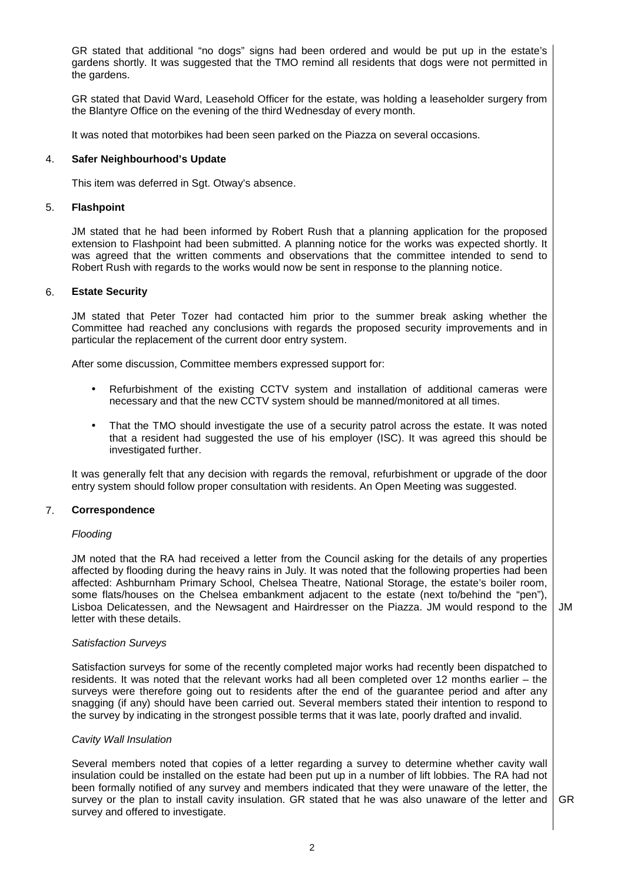GR stated that additional "no dogs" signs had been ordered and would be put up in the estate's gardens shortly. It was suggested that the TMO remind all residents that dogs were not permitted in the gardens.

GR stated that David Ward, Leasehold Officer for the estate, was holding a leaseholder surgery from the Blantyre Office on the evening of the third Wednesday of every month.

It was noted that motorbikes had been seen parked on the Piazza on several occasions.

#### 4. **Safer Neighbourhood's Update**

This item was deferred in Sgt. Otway's absence.

#### 5. **Flashpoint**

JM stated that he had been informed by Robert Rush that a planning application for the proposed extension to Flashpoint had been submitted. A planning notice for the works was expected shortly. It was agreed that the written comments and observations that the committee intended to send to Robert Rush with regards to the works would now be sent in response to the planning notice.

## 6. **Estate Security**

JM stated that Peter Tozer had contacted him prior to the summer break asking whether the Committee had reached any conclusions with regards the proposed security improvements and in particular the replacement of the current door entry system.

After some discussion, Committee members expressed support for:

- Refurbishment of the existing CCTV system and installation of additional cameras were necessary and that the new CCTV system should be manned/monitored at all times.
- That the TMO should investigate the use of a security patrol across the estate. It was noted that a resident had suggested the use of his employer (ISC). It was agreed this should be investigated further.

It was generally felt that any decision with regards the removal, refurbishment or upgrade of the door entry system should follow proper consultation with residents. An Open Meeting was suggested.

## 7. **Correspondence**

#### Flooding

JM noted that the RA had received a letter from the Council asking for the details of any properties affected by flooding during the heavy rains in July. It was noted that the following properties had been affected: Ashburnham Primary School, Chelsea Theatre, National Storage, the estate's boiler room, some flats/houses on the Chelsea embankment adjacent to the estate (next to/behind the "pen"), Lisboa Delicatessen, and the Newsagent and Hairdresser on the Piazza. JM would respond to the letter with these details.

#### Satisfaction Surveys

Satisfaction surveys for some of the recently completed major works had recently been dispatched to residents. It was noted that the relevant works had all been completed over 12 months earlier – the surveys were therefore going out to residents after the end of the guarantee period and after any snagging (if any) should have been carried out. Several members stated their intention to respond to the survey by indicating in the strongest possible terms that it was late, poorly drafted and invalid.

## Cavity Wall Insulation

Several members noted that copies of a letter regarding a survey to determine whether cavity wall insulation could be installed on the estate had been put up in a number of lift lobbies. The RA had not been formally notified of any survey and members indicated that they were unaware of the letter, the survey or the plan to install cavity insulation. GR stated that he was also unaware of the letter and survey and offered to investigate. GR

JM